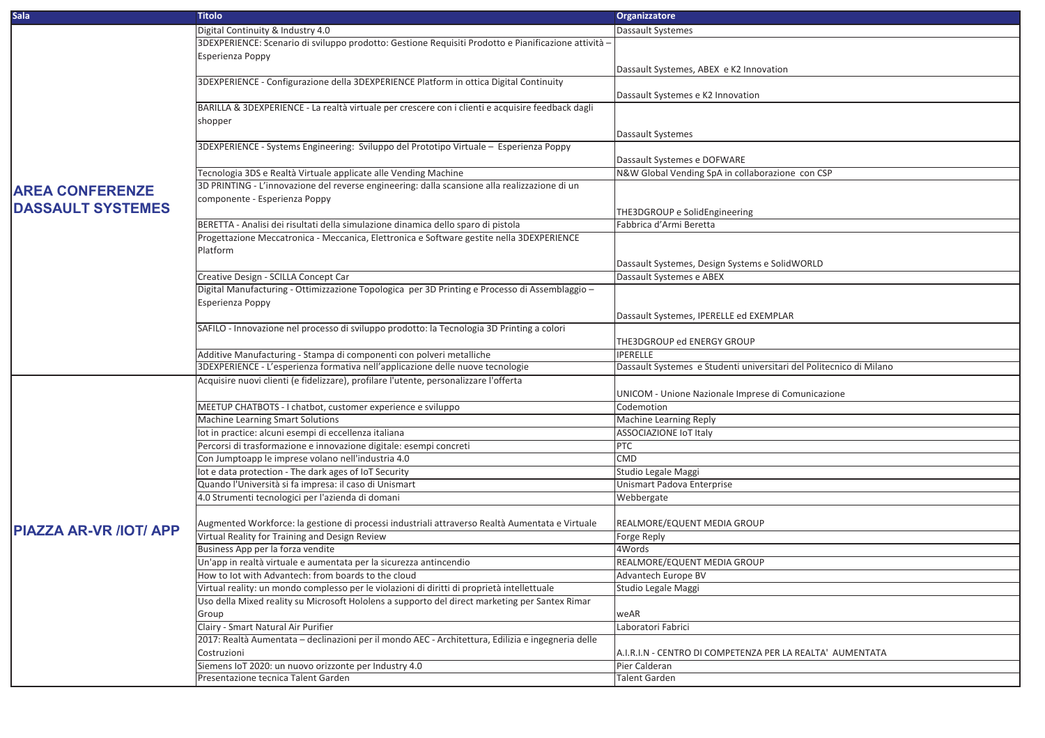| <b>Sala</b>                   | <b>Titolo</b>                                                                                      | <b>Organizzatore</b>                                                |
|-------------------------------|----------------------------------------------------------------------------------------------------|---------------------------------------------------------------------|
|                               | Digital Continuity & Industry 4.0                                                                  | <b>Dassault Systemes</b>                                            |
|                               | 3DEXPERIENCE: Scenario di sviluppo prodotto: Gestione Requisiti Prodotto e Pianificazione attività |                                                                     |
|                               | <b>Esperienza Poppy</b>                                                                            |                                                                     |
|                               |                                                                                                    | Dassault Systemes, ABEX e K2 Innovation                             |
|                               | 3DEXPERIENCE - Configurazione della 3DEXPERIENCE Platform in ottica Digital Continuity             |                                                                     |
|                               |                                                                                                    | Dassault Systemes e K2 Innovation                                   |
|                               | BARILLA & 3DEXPERIENCE - La realtà virtuale per crescere con i clienti e acquisire feedback dagli  |                                                                     |
|                               | shopper                                                                                            |                                                                     |
|                               |                                                                                                    | <b>Dassault Systemes</b>                                            |
|                               | 3DEXPERIENCE - Systems Engineering: Sviluppo del Prototipo Virtuale – Esperienza Poppy             |                                                                     |
|                               |                                                                                                    | Dassault Systemes e DOFWARE                                         |
|                               | Tecnologia 3DS e Realtà Virtuale applicate alle Vending Machine                                    | N&W Global Vending SpA in collaborazione con CSP                    |
|                               | 3D PRINTING - L'innovazione del reverse engineering: dalla scansione alla realizzazione di un      |                                                                     |
| <b>AREA CONFERENZE</b>        | componente - Esperienza Poppy                                                                      |                                                                     |
| <b>DASSAULT SYSTEMES</b>      |                                                                                                    | THE3DGROUP e SolidEngineering                                       |
|                               | BERETTA - Analisi dei risultati della simulazione dinamica dello sparo di pistola                  | Fabbrica d'Armi Beretta                                             |
|                               | Progettazione Meccatronica - Meccanica, Elettronica e Software gestite nella 3DEXPERIENCE          |                                                                     |
|                               | Platform                                                                                           |                                                                     |
|                               |                                                                                                    | Dassault Systemes, Design Systems e SolidWORLD                      |
|                               | Creative Design - SCILLA Concept Car                                                               | Dassault Systemes e ABEX                                            |
|                               | Digital Manufacturing - Ottimizzazione Topologica per 3D Printing e Processo di Assemblaggio -     |                                                                     |
|                               | <b>Esperienza Poppy</b>                                                                            |                                                                     |
|                               |                                                                                                    | Dassault Systemes, IPERELLE ed EXEMPLAR                             |
|                               | SAFILO - Innovazione nel processo di sviluppo prodotto: la Tecnologia 3D Printing a colori         |                                                                     |
|                               |                                                                                                    | THE3DGROUP ed ENERGY GROUP                                          |
|                               | Additive Manufacturing - Stampa di componenti con polveri metalliche                               | <b>IPERELLE</b>                                                     |
|                               | 3DEXPERIENCE - L'esperienza formativa nell'applicazione delle nuove tecnologie                     | Dassault Systemes e Studenti universitari del Politecnico di Milano |
|                               | Acquisire nuovi clienti (e fidelizzare), profilare l'utente, personalizzare l'offerta              |                                                                     |
|                               |                                                                                                    | UNICOM - Unione Nazionale Imprese di Comunicazione                  |
|                               | MEETUP CHATBOTS - I chatbot, customer experience e sviluppo                                        | Codemotion                                                          |
|                               | <b>Machine Learning Smart Solutions</b>                                                            | Machine Learning Reply                                              |
|                               | lot in practice: alcuni esempi di eccellenza italiana                                              | <b>ASSOCIAZIONE IoT Italy</b>                                       |
|                               | Percorsi di trasformazione e innovazione digitale: esempi concreti                                 | PTC                                                                 |
|                               | Con Jumptoapp le imprese volano nell'industria 4.0                                                 | CMD                                                                 |
|                               | lot e data protection - The dark ages of IoT Security                                              | Studio Legale Maggi                                                 |
|                               | Quando l'Università si fa impresa: il caso di Unismart                                             | Unismart Padova Enterprise                                          |
|                               | 4.0 Strumenti tecnologici per l'azienda di domani                                                  | Webbergate                                                          |
|                               |                                                                                                    |                                                                     |
|                               | Augmented Workforce: la gestione di processi industriali attraverso Realtà Aumentata e Virtuale    | REALMORE/EQUENT MEDIA GROUP                                         |
| <b>PIAZZA AR-VR /IOT/ APP</b> | Virtual Reality for Training and Design Review                                                     | Forge Reply                                                         |
|                               | Business App per la forza vendite                                                                  | 4Words                                                              |
|                               | Un'app in realtà virtuale e aumentata per la sicurezza antincendio                                 | REALMORE/EQUENT MEDIA GROUP                                         |
|                               | How to lot with Advantech: from boards to the cloud                                                | Advantech Europe BV                                                 |
|                               | Virtual reality: un mondo complesso per le violazioni di diritti di proprietà intellettuale        | Studio Legale Maggi                                                 |
|                               | Uso della Mixed reality su Microsoft Hololens a supporto del direct marketing per Santex Rimar     |                                                                     |
|                               | Group                                                                                              | weAR                                                                |
|                               | Clairy - Smart Natural Air Purifier                                                                | Laboratori Fabrici                                                  |
|                               | 2017: Realtà Aumentata - declinazioni per il mondo AEC - Architettura, Edilizia e ingegneria delle |                                                                     |
|                               | Costruzioni                                                                                        | A.I.R.I.N - CENTRO DI COMPETENZA PER LA REALTA' AUMENTATA           |
|                               | Siemens IoT 2020: un nuovo orizzonte per Industry 4.0                                              | Pier Calderan                                                       |
|                               | Presentazione tecnica Talent Garden                                                                | <b>Talent Garden</b>                                                |
|                               |                                                                                                    |                                                                     |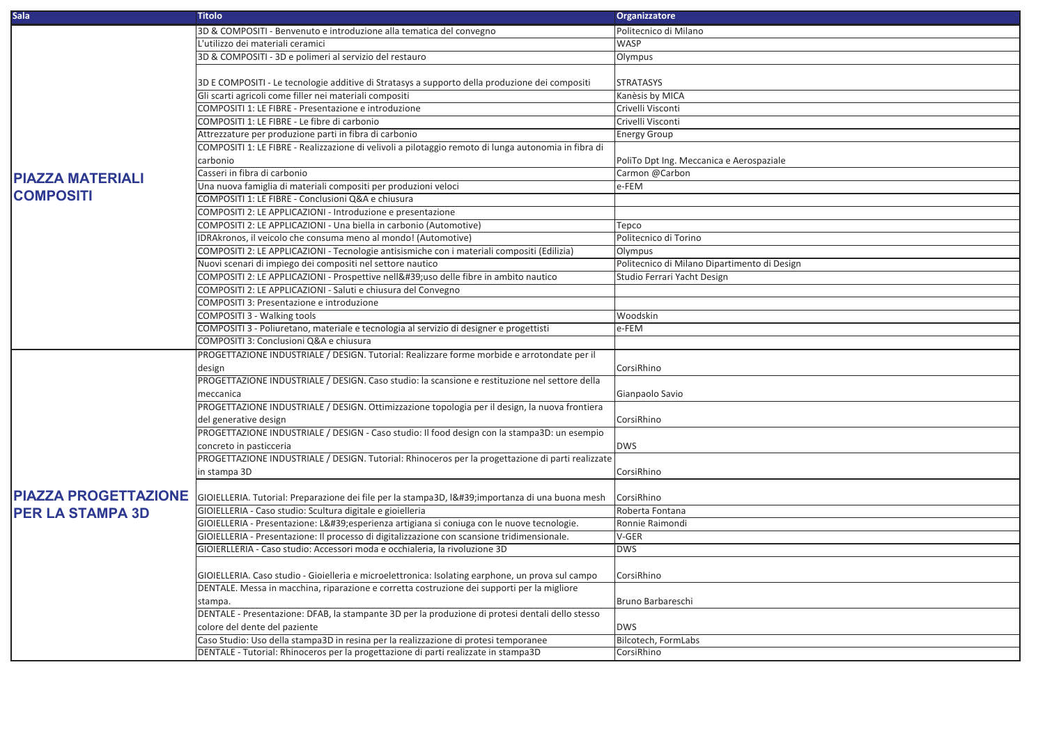| <b>Sala</b>                 | <b>Titolo</b>                                                                                        | Organizzatore                                |
|-----------------------------|------------------------------------------------------------------------------------------------------|----------------------------------------------|
|                             | 3D & COMPOSITI - Benvenuto e introduzione alla tematica del convegno                                 | Politecnico di Milano                        |
|                             | L'utilizzo dei materiali ceramici                                                                    | <b>WASP</b>                                  |
|                             | 3D & COMPOSITI - 3D e polimeri al servizio del restauro                                              | Olympus                                      |
|                             |                                                                                                      |                                              |
|                             | 3D E COMPOSITI - Le tecnologie additive di Stratasys a supporto della produzione dei compositi       | <b>STRATASYS</b>                             |
|                             | Gli scarti agricoli come filler nei materiali compositi                                              | Kanèsis by MICA                              |
|                             | COMPOSITI 1: LE FIBRE - Presentazione e introduzione                                                 | Crivelli Visconti                            |
|                             | COMPOSITI 1: LE FIBRE - Le fibre di carbonio                                                         | Crivelli Visconti                            |
|                             | Attrezzature per produzione parti in fibra di carbonio                                               | <b>Energy Group</b>                          |
|                             | COMPOSITI 1: LE FIBRE - Realizzazione di velivoli a pilotaggio remoto di lunga autonomia in fibra di |                                              |
|                             | carbonio                                                                                             | PoliTo Dpt Ing. Meccanica e Aerospaziale     |
| <b>PIAZZA MATERIALI</b>     | Casseri in fibra di carbonio                                                                         | Carmon @Carbon                               |
|                             | Una nuova famiglia di materiali compositi per produzioni veloci                                      | e-FEM                                        |
| <b>COMPOSITI</b>            | COMPOSITI 1: LE FIBRE - Conclusioni Q&A e chiusura                                                   |                                              |
|                             | COMPOSITI 2: LE APPLICAZIONI - Introduzione e presentazione                                          |                                              |
|                             | COMPOSITI 2: LE APPLICAZIONI - Una biella in carbonio (Automotive)                                   | Tepco                                        |
|                             | IDRAkronos, il veicolo che consuma meno al mondo! (Automotive)                                       | Politecnico di Torino                        |
|                             | COMPOSITI 2: LE APPLICAZIONI - Tecnologie antisismiche con i materiali compositi (Edilizia)          | Olympus                                      |
|                             | Nuovi scenari di impiego dei compositi nel settore nautico                                           | Politecnico di Milano Dipartimento di Design |
|                             | COMPOSITI 2: LE APPLICAZIONI - Prospettive nell'uso delle fibre in ambito nautico                    | Studio Ferrari Yacht Design                  |
|                             | COMPOSITI 2: LE APPLICAZIONI - Saluti e chiusura del Convegno                                        |                                              |
|                             | COMPOSITI 3: Presentazione e introduzione                                                            |                                              |
|                             | COMPOSITI 3 - Walking tools                                                                          | Woodskin                                     |
|                             | COMPOSITI 3 - Poliuretano, materiale e tecnologia al servizio di designer e progettisti              | e-FEM                                        |
|                             | COMPOSITI 3: Conclusioni Q&A e chiusura                                                              |                                              |
|                             | PROGETTAZIONE INDUSTRIALE / DESIGN. Tutorial: Realizzare forme morbide e arrotondate per il          |                                              |
|                             | design                                                                                               | CorsiRhino                                   |
|                             | PROGETTAZIONE INDUSTRIALE / DESIGN. Caso studio: la scansione e restituzione nel settore della       |                                              |
|                             | meccanica                                                                                            | Gianpaolo Savio                              |
|                             | PROGETTAZIONE INDUSTRIALE / DESIGN. Ottimizzazione topologia per il design, la nuova frontiera       |                                              |
|                             | del generative design                                                                                | CorsiRhino                                   |
|                             | PROGETTAZIONE INDUSTRIALE / DESIGN - Caso studio: Il food design con la stampa3D: un esempio         |                                              |
|                             | concreto in pasticceria                                                                              | <b>DWS</b>                                   |
|                             | PROGETTAZIONE INDUSTRIALE / DESIGN. Tutorial: Rhinoceros per la progettazione di parti realizzate    |                                              |
|                             | in stampa 3D                                                                                         | CorsiRhino                                   |
|                             |                                                                                                      |                                              |
| <b>PIAZZA PROGETTAZIONE</b> | GIOIELLERIA. Tutorial: Preparazione dei file per la stampa3D, I' importanza di una buona mesh        | CorsiRhino                                   |
| <b>PER LA STAMPA 3D</b>     | GIOIELLERIA - Caso studio: Scultura digitale e gioielleria                                           | Roberta Fontana                              |
|                             | GIOIELLERIA - Presentazione: L'esperienza artigiana si coniuga con le nuove tecnologie.              | Ronnie Raimondi                              |
|                             | GIOIELLERIA - Presentazione: Il processo di digitalizzazione con scansione tridimensionale.          | V-GER                                        |
|                             | GIOIERLLERIA - Caso studio: Accessori moda e occhialeria, la rivoluzione 3D                          | <b>DWS</b>                                   |
|                             |                                                                                                      |                                              |
|                             | GIOIELLERIA. Caso studio - Gioielleria e microelettronica: Isolating earphone, un prova sul campo    | CorsiRhino                                   |
|                             | DENTALE. Messa in macchina, riparazione e corretta costruzione dei supporti per la migliore          |                                              |
|                             | stampa.                                                                                              | Bruno Barbareschi                            |
|                             | DENTALE - Presentazione: DFAB, la stampante 3D per la produzione di protesi dentali dello stesso     |                                              |
|                             | colore del dente del paziente                                                                        | <b>DWS</b>                                   |
|                             | Caso Studio: Uso della stampa3D in resina per la realizzazione di protesi temporanee                 | Bilcotech, FormLabs                          |
|                             | DENTALE - Tutorial: Rhinoceros per la progettazione di parti realizzate in stampa3D                  | CorsiRhino                                   |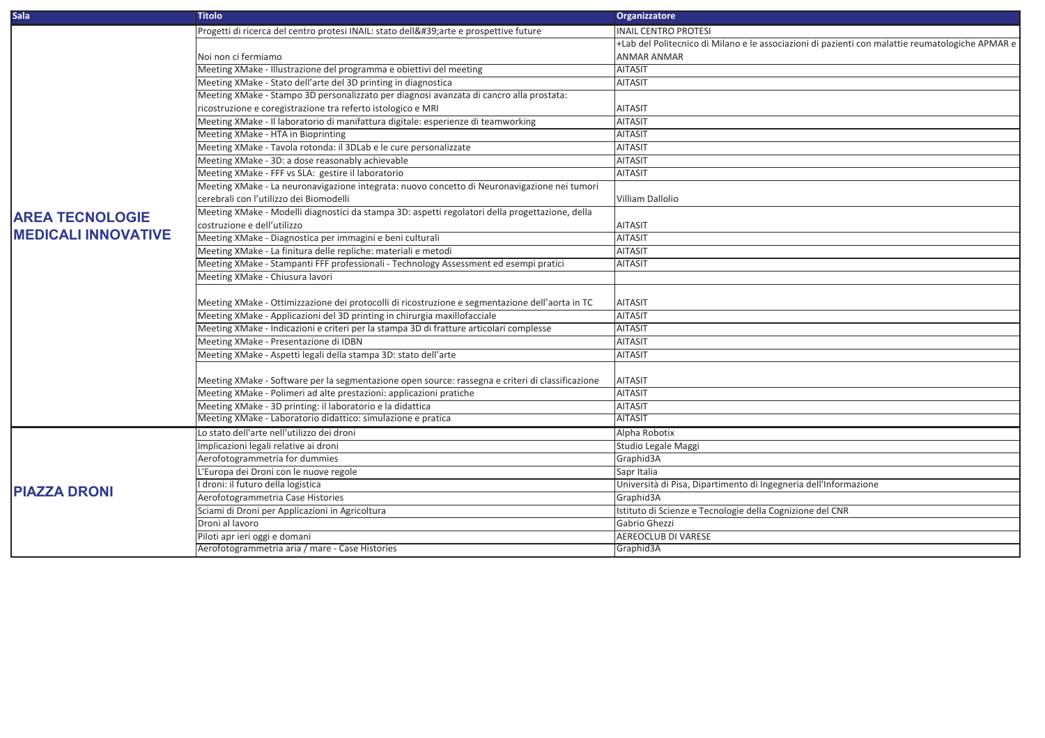| <b>Sala</b>                 | <b>Titolo</b>                                                                                    | Organizzatore                                                                                    |
|-----------------------------|--------------------------------------------------------------------------------------------------|--------------------------------------------------------------------------------------------------|
|                             | Progetti di ricerca del centro protesi INAIL: stato dell'arte e prospettive future               | <b>INAIL CENTRO PROTESI</b>                                                                      |
|                             |                                                                                                  | +Lab del Politecnico di Milano e le associazioni di pazienti con malattie reumatologiche APMAR e |
|                             | Noi non ci fermiamo                                                                              | <b>ANMAR ANMAR</b>                                                                               |
|                             | Meeting XMake - Illustrazione del programma e obiettivi del meeting                              | <b>AITASIT</b>                                                                                   |
|                             | Meeting XMake - Stato dell'arte del 3D printing in diagnostica                                   | <b>AITASIT</b>                                                                                   |
|                             | Meeting XMake - Stampo 3D personalizzato per diagnosi avanzata di cancro alla prostata:          |                                                                                                  |
|                             | ricostruzione e coregistrazione tra referto istologico e MRI                                     | <b>AITASIT</b>                                                                                   |
|                             | Meeting XMake - Il laboratorio di manifattura digitale: esperienze di teamworking                | <b>AITASIT</b>                                                                                   |
|                             | Meeting XMake - HTA in Bioprinting                                                               | <b>AITASIT</b>                                                                                   |
|                             | Meeting XMake - Tavola rotonda: il 3DLab e le cure personalizzate                                | <b>AITASIT</b>                                                                                   |
|                             | Meeting XMake - 3D: a dose reasonably achievable                                                 | <b>AITASIT</b>                                                                                   |
|                             | Meeting XMake - FFF vs SLA: gestire il laboratorio                                               | <b>AITASIT</b>                                                                                   |
|                             | Meeting XMake - La neuronavigazione integrata: nuovo concetto di Neuronavigazione nei tumori     |                                                                                                  |
| <b>AREA TECNOLOGIE</b>      | cerebrali con l'utilizzo dei Biomodelli                                                          | Villiam Dallolio                                                                                 |
|                             | Meeting XMake - Modelli diagnostici da stampa 3D: aspetti regolatori della progettazione, della  |                                                                                                  |
|                             | costruzione e dell'utilizzo                                                                      | <b>AITASIT</b>                                                                                   |
| <b>IMEDICALI INNOVATIVE</b> | Meeting XMake - Diagnostica per immagini e beni culturali                                        | <b>AITASIT</b>                                                                                   |
|                             | Meeting XMake - La finitura delle repliche: materiali e metodi                                   | <b>AITASIT</b>                                                                                   |
|                             | Meeting XMake - Stampanti FFF professionali - Technology Assessment ed esempi pratici            | <b>AITASIT</b>                                                                                   |
|                             | Meeting XMake - Chiusura lavori                                                                  |                                                                                                  |
|                             | Meeting XMake - Ottimizzazione dei protocolli di ricostruzione e segmentazione dell'aorta in TC  | <b>AITASIT</b>                                                                                   |
|                             | Meeting XMake - Applicazioni del 3D printing in chirurgia maxillofacciale                        | <b>AITASIT</b>                                                                                   |
|                             | Meeting XMake - Indicazioni e criteri per la stampa 3D di fratture articolari complesse          | <b>AITASIT</b>                                                                                   |
|                             | Meeting XMake - Presentazione di IDBN                                                            | <b>AITASIT</b>                                                                                   |
|                             | Meeting XMake - Aspetti legali della stampa 3D: stato dell'arte                                  | <b>AITASIT</b>                                                                                   |
|                             |                                                                                                  |                                                                                                  |
|                             | Meeting XMake - Software per la segmentazione open source: rassegna e criteri di classificazione | <b>AITASIT</b>                                                                                   |
|                             | Meeting XMake - Polimeri ad alte prestazioni: applicazioni pratiche                              | <b>AITASIT</b>                                                                                   |
|                             | Meeting XMake - 3D printing: il laboratorio e la didattica                                       | <b>AITASIT</b>                                                                                   |
|                             | Meeting XMake - Laboratorio didattico: simulazione e pratica                                     | <b>AITASIT</b>                                                                                   |
|                             | Lo stato dell'arte nell'utilizzo dei droni                                                       | Alpha Robotix                                                                                    |
|                             | Implicazioni legali relative ai droni                                                            | Studio Legale Maggi                                                                              |
| <b>PIAZZA DRONI</b>         | Aerofotogrammetria for dummies                                                                   | Graphid3A                                                                                        |
|                             | L'Europa dei Droni con le nuove regole                                                           | Sapr Italia                                                                                      |
|                             | I droni: il futuro della logistica                                                               | Università di Pisa, Dipartimento di Ingegneria dell'Informazione                                 |
|                             | Aerofotogrammetria Case Histories                                                                | Graphid3A                                                                                        |
|                             | Sciami di Droni per Applicazioni in Agricoltura                                                  | Istituto di Scienze e Tecnologie della Cognizione del CNR                                        |
|                             | Droni al lavoro                                                                                  | Gabrio Ghezzi                                                                                    |
|                             | Piloti apr ieri oggi e domani                                                                    | <b>AEREOCLUB DI VARESE</b>                                                                       |
|                             | Aerofotogrammetria aria / mare - Case Histories                                                  | Graphid3A                                                                                        |